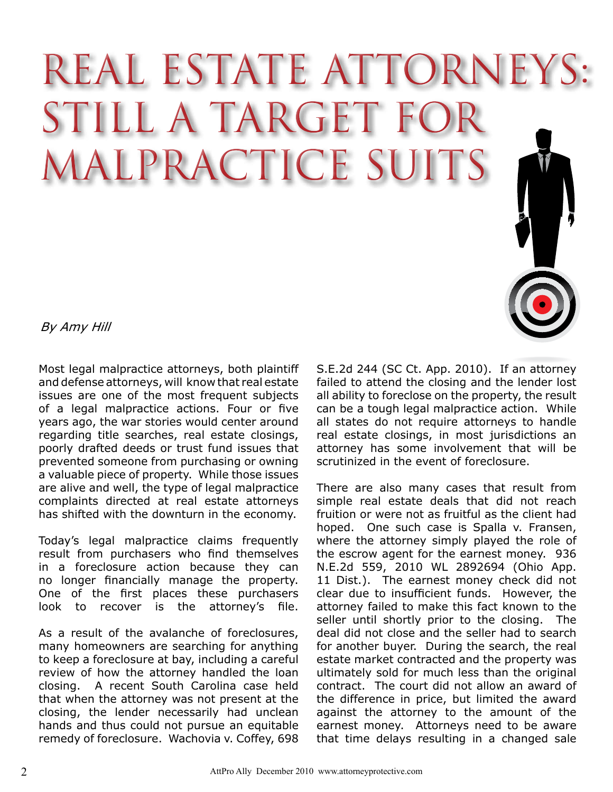## REAL ESTATE ATTORNEY STILL A TARGET FC MALPRACTICE SUITS

By Amy Hill

Most legal malpractice attorneys, both plaintiff and defense attorneys, will know that real estate issues are one of the most frequent subjects of a legal malpractice actions. Four or five years ago, the war stories would center around regarding title searches, real estate closings, poorly drafted deeds or trust fund issues that prevented someone from purchasing or owning a valuable piece of property. While those issues are alive and well, the type of legal malpractice complaints directed at real estate attorneys has shifted with the downturn in the economy.

Today's legal malpractice claims frequently result from purchasers who find themselves in a foreclosure action because they can no longer financially manage the property. One of the first places these purchasers look to recover is the attorney's file.

As a result of the avalanche of foreclosures, many homeowners are searching for anything to keep a foreclosure at bay, including a careful review of how the attorney handled the loan closing. A recent South Carolina case held that when the attorney was not present at the closing, the lender necessarily had unclean hands and thus could not pursue an equitable remedy of foreclosure. Wachovia v. Coffey, 698 S.E.2d 244 (SC Ct. App. 2010). If an attorney failed to attend the closing and the lender lost all ability to foreclose on the property, the result can be a tough legal malpractice action. While all states do not require attorneys to handle real estate closings, in most jurisdictions an attorney has some involvement that will be scrutinized in the event of foreclosure.

There are also many cases that result from simple real estate deals that did not reach fruition or were not as fruitful as the client had hoped. One such case is Spalla v. Fransen, where the attorney simply played the role of the escrow agent for the earnest money. 936 N.E.2d 559, 2010 WL 2892694 (Ohio App. 11 Dist.). The earnest money check did not clear due to insufficient funds. However, the attorney failed to make this fact known to the seller until shortly prior to the closing. The deal did not close and the seller had to search for another buyer. During the search, the real estate market contracted and the property was ultimately sold for much less than the original contract. The court did not allow an award of the difference in price, but limited the award against the attorney to the amount of the earnest money. Attorneys need to be aware that time delays resulting in a changed sale